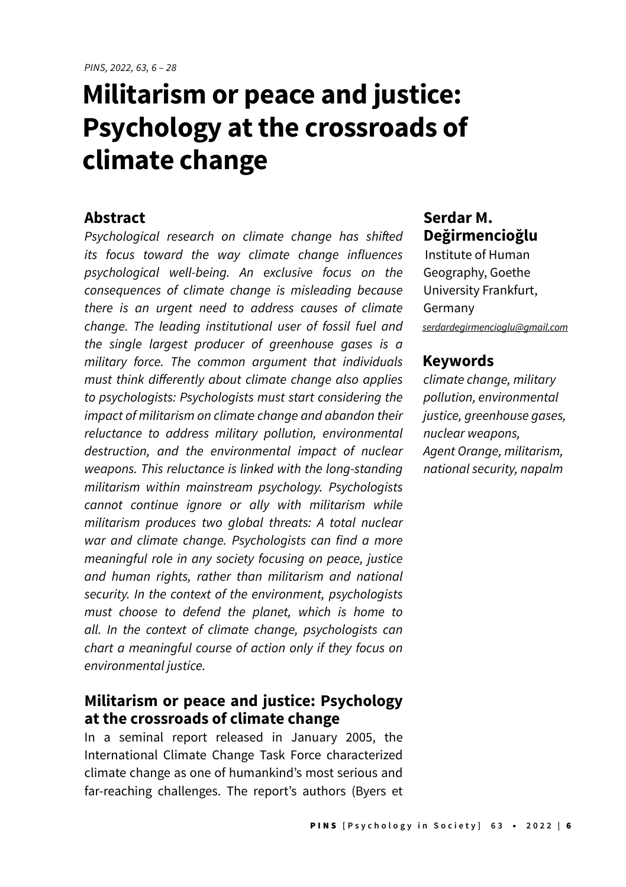# **Militarism or peace and justice: Psychology at the crossroads of climate change**

#### **Abstract**

Psychological research on climate change has shifted its focus toward the way climate change influences psychological well-being. An exclusive focus on the consequences of climate change is misleading because there is an urgent need to address causes of climate change. The leading institutional user of fossil fuel and the single largest producer of greenhouse gases is a military force. The common argument that individuals must think differently about climate change also applies to psychologists: Psychologists must start considering the impact of militarism on climate change and abandon their reluctance to address military pollution, environmental destruction, and the environmental impact of nuclear weapons. This reluctance is linked with the long-standing militarism within mainstream psychology. Psychologists cannot continue ignore or ally with militarism while militarism produces two global threats: A total nuclear war and climate change. Psychologists can find a more meaningful role in any society focusing on peace, justice and human rights, rather than militarism and national security. In the context of the environment, psychologists must choose to defend the planet, which is home to all. In the context of climate change, psychologists can chart a meaningful course of action only if they focus on environmental justice.

#### **Militarism or peace and justice: Psychology at the crossroads of climate change**

In a seminal report released in January 2005, the International Climate Change Task Force characterized climate change as one of humankind's most serious and far-reaching challenges. The report's authors (Byers et

# **Serdar M. Değirmencioğlu**

Institute of Human Geography, Goethe University Frankfurt, Germany [serdardegirmencioglu@gmail.co](mailto:serdardegirmencioglu@gmail.com)m

#### **Keywords**

climate change, military pollution, environmental justice, greenhouse gases, nuclear weapons, Agent Orange, militarism, national security, napalm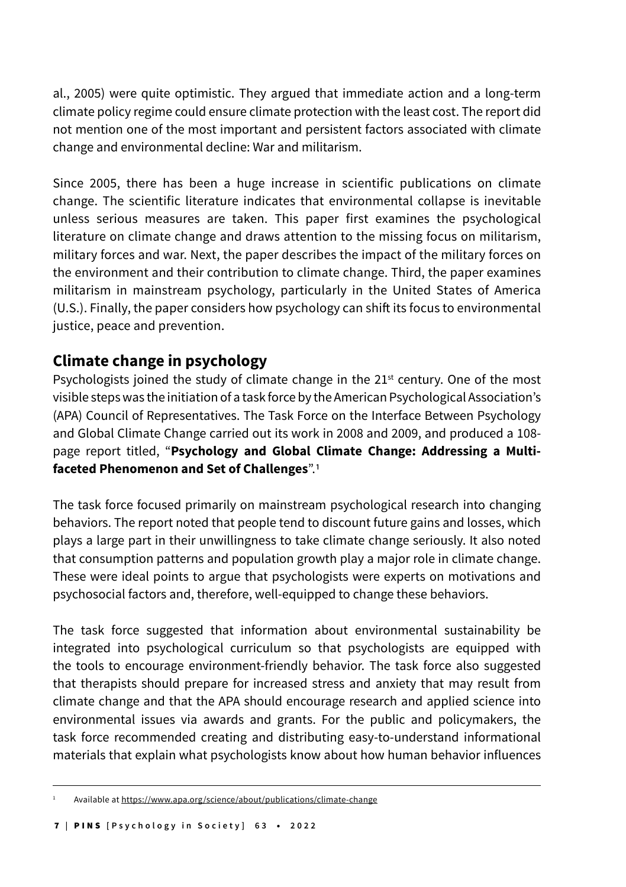al., 2005) were quite optimistic. They argued that immediate action and a long-term climate policy regime could ensure climate protection with the least cost. The report did not mention one of the most important and persistent factors associated with climate change and environmental decline: War and militarism.

Since 2005, there has been a huge increase in scientific publications on climate change. The scientific literature indicates that environmental collapse is inevitable unless serious measures are taken. This paper first examines the psychological literature on climate change and draws attention to the missing focus on militarism, military forces and war. Next, the paper describes the impact of the military forces on the environment and their contribution to climate change. Third, the paper examines militarism in mainstream psychology, particularly in the United States of America (U.S.). Finally, the paper considers how psychology can shift its focus to environmental justice, peace and prevention.

#### **Climate change in psychology**

Psychologists joined the study of climate change in the  $21<sup>st</sup>$  century. One of the most visible steps was the initiation of a task force by the American Psychological Association's (APA) Council of Representatives. The Task Force on the Interface Between Psychology and Global Climate Change carried out its work in 2008 and 2009, and produced a 108 page report titled, "**Psychology and Global Climate Change: Addressing a Multifaceted Phenomenon and Set of Challenges**".1

The task force focused primarily on mainstream psychological research into changing behaviors. The report noted that people tend to discount future gains and losses, which plays a large part in their unwillingness to take climate change seriously. It also noted that consumption patterns and population growth play a major role in climate change. These were ideal points to argue that psychologists were experts on motivations and psychosocial factors and, therefore, well-equipped to change these behaviors.

The task force suggested that information about environmental sustainability be integrated into psychological curriculum so that psychologists are equipped with the tools to encourage environment-friendly behavior. The task force also suggested that therapists should prepare for increased stress and anxiety that may result from climate change and that the APA should encourage research and applied science into environmental issues via awards and grants. For the public and policymakers, the task force recommended creating and distributing easy-to-understand informational materials that explain what psychologists know about how human behavior influences

Available at https://www.apa.org/science/about/publications/climate-change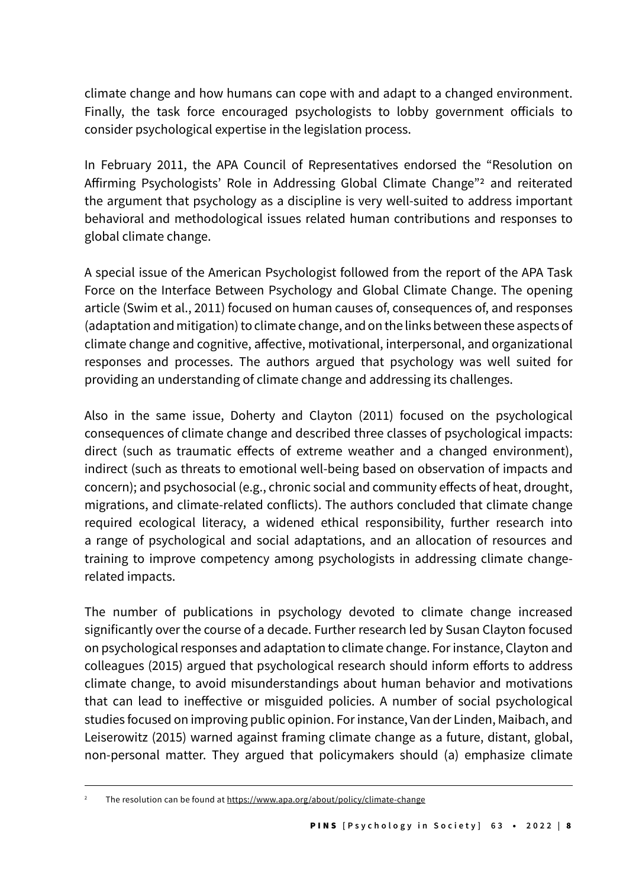climate change and how humans can cope with and adapt to a changed environment. Finally, the task force encouraged psychologists to lobby government officials to consider psychological expertise in the legislation process.

In February 2011, the APA Council of Representatives endorsed the "Resolution on Affirming Psychologists' Role in Addressing Global Climate Change"2 and reiterated the argument that psychology as a discipline is very well-suited to address important behavioral and methodological issues related human contributions and responses to global climate change.

A special issue of the American Psychologist followed from the report of the APA Task Force on the Interface Between Psychology and Global Climate Change. The opening article (Swim et al., 2011) focused on human causes of, consequences of, and responses (adaptation and mitigation) to climate change, and on the links between these aspects of climate change and cognitive, affective, motivational, interpersonal, and organizational responses and processes. The authors argued that psychology was well suited for providing an understanding of climate change and addressing its challenges.

Also in the same issue, Doherty and Clayton (2011) focused on the psychological consequences of climate change and described three classes of psychological impacts: direct (such as traumatic effects of extreme weather and a changed environment), indirect (such as threats to emotional well-being based on observation of impacts and concern); and psychosocial (e.g., chronic social and community effects of heat, drought, migrations, and climate-related conflicts). The authors concluded that climate change required ecological literacy, a widened ethical responsibility, further research into a range of psychological and social adaptations, and an allocation of resources and training to improve competency among psychologists in addressing climate changerelated impacts.

The number of publications in psychology devoted to climate change increased significantly over the course of a decade. Further research led by Susan Clayton focused on psychological responses and adaptation to climate change. For instance, Clayton and colleagues (2015) argued that psychological research should inform efforts to address climate change, to avoid misunderstandings about human behavior and motivations that can lead to ineffective or misguided policies. A number of social psychological studies focused on improving public opinion. For instance, Van der Linden, Maibach, and Leiserowitz (2015) warned against framing climate change as a future, distant, global, non-personal matter. They argued that policymakers should (a) emphasize climate

The resolution can be found at https://www.apa.org/about/policy/climate-change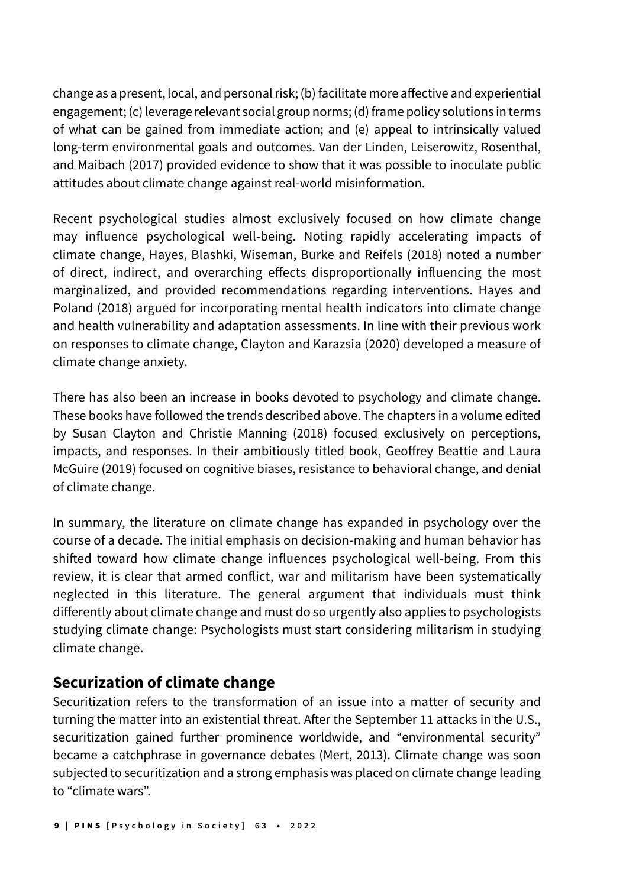change as a present, local, and personal risk; (b) facilitate more affective and experiential engagement; (c) leverage relevant social group norms; (d) frame policy solutions in terms of what can be gained from immediate action; and (e) appeal to intrinsically valued long-term environmental goals and outcomes. Van der Linden, Leiserowitz, Rosenthal, and Maibach (2017) provided evidence to show that it was possible to inoculate public attitudes about climate change against real-world misinformation.

Recent psychological studies almost exclusively focused on how climate change may influence psychological well-being. Noting rapidly accelerating impacts of climate change, Hayes, Blashki, Wiseman, Burke and Reifels (2018) noted a number of direct, indirect, and overarching effects disproportionally influencing the most marginalized, and provided recommendations regarding interventions. Hayes and Poland (2018) argued for incorporating mental health indicators into climate change and health vulnerability and adaptation assessments. In line with their previous work on responses to climate change, Clayton and Karazsia (2020) developed a measure of climate change anxiety.

There has also been an increase in books devoted to psychology and climate change. These books have followed the trends described above. The chapters in a volume edited by Susan Clayton and Christie Manning (2018) focused exclusively on perceptions, impacts, and responses. In their ambitiously titled book, Geoffrey Beattie and Laura McGuire (2019) focused on cognitive biases, resistance to behavioral change, and denial of climate change.

In summary, the literature on climate change has expanded in psychology over the course of a decade. The initial emphasis on decision-making and human behavior has shifted toward how climate change influences psychological well-being. From this review, it is clear that armed conflict, war and militarism have been systematically neglected in this literature. The general argument that individuals must think differently about climate change and must do so urgently also applies to psychologists studying climate change: Psychologists must start considering militarism in studying climate change.

#### **Securization of climate change**

Securitization refers to the transformation of an issue into a matter of security and turning the matter into an existential threat. After the September 11 attacks in the U.S., securitization gained further prominence worldwide, and "environmental security" became a catchphrase in governance debates (Mert, 2013). Climate change was soon subjected to securitization and a strong emphasis was placed on climate change leading to "climate wars".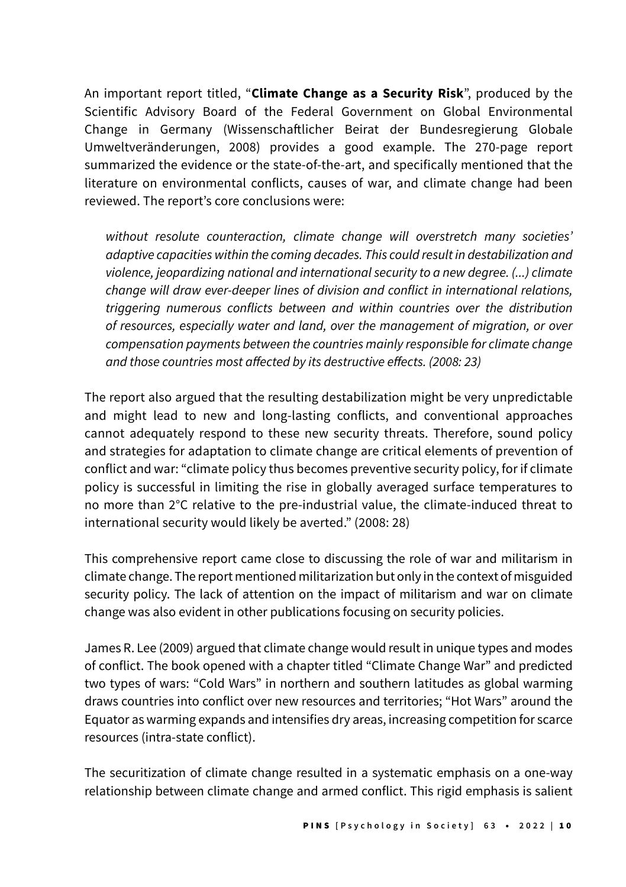An important report titled, "**Climate Change as a Security Risk**", produced by the Scientific Advisory Board of the Federal Government on Global Environmental Change in Germany (Wissenschaftlicher Beirat der Bundesregierung Globale Umweltveränderungen, 2008) provides a good example. The 270-page report summarized the evidence or the state-of-the-art, and specifically mentioned that the literature on environmental conflicts, causes of war, and climate change had been reviewed. The report's core conclusions were:

without resolute counteraction, climate change will overstretch many societies' adaptive capacities within the coming decades. This could result in destabilization and violence, jeopardizing national and international security to a new degree. (...) climate change will draw ever-deeper lines of division and conflict in international relations, triggering numerous conflicts between and within countries over the distribution of resources, especially water and land, over the management of migration, or over compensation payments between the countries mainly responsible for climate change and those countries most affected by its destructive effects. (2008: 23)

The report also argued that the resulting destabilization might be very unpredictable and might lead to new and long-lasting conflicts, and conventional approaches cannot adequately respond to these new security threats. Therefore, sound policy and strategies for adaptation to climate change are critical elements of prevention of conflict and war: "climate policy thus becomes preventive security policy, for if climate policy is successful in limiting the rise in globally averaged surface temperatures to no more than 2°C relative to the pre-industrial value, the climate-induced threat to international security would likely be averted." (2008: 28)

This comprehensive report came close to discussing the role of war and militarism in climate change. The report mentioned militarization but only in the context of misguided security policy. The lack of attention on the impact of militarism and war on climate change was also evident in other publications focusing on security policies.

James R. Lee (2009) argued that climate change would result in unique types and modes of conflict. The book opened with a chapter titled "Climate Change War" and predicted two types of wars: "Cold Wars" in northern and southern latitudes as global warming draws countries into conflict over new resources and territories; "Hot Wars" around the Equator as warming expands and intensifies dry areas, increasing competition for scarce resources (intra-state conflict).

The securitization of climate change resulted in a systematic emphasis on a one-way relationship between climate change and armed conflict. This rigid emphasis is salient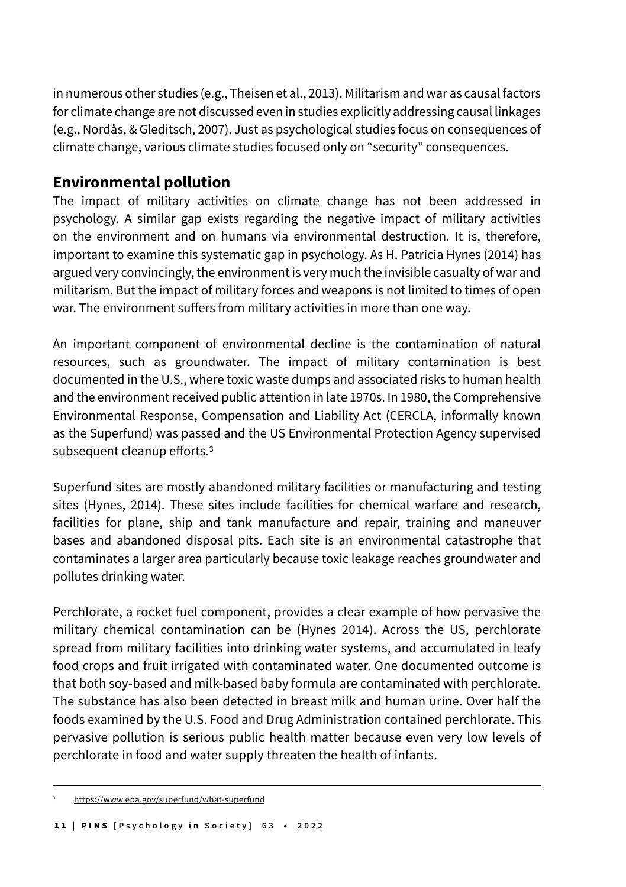in numerous other studies (e.g., Theisen et al., 2013). Militarism and war as causal factors for climate change are not discussed even in studies explicitly addressing causal linkages (e.g., Nordås, & Gleditsch, 2007). Just as psychological studies focus on consequences of climate change, various climate studies focused only on "security" consequences.

## **Environmental pollution**

The impact of military activities on climate change has not been addressed in psychology. A similar gap exists regarding the negative impact of military activities on the environment and on humans via environmental destruction. It is, therefore, important to examine this systematic gap in psychology. As H. Patricia Hynes (2014) has argued very convincingly, the environment is very much the invisible casualty of war and militarism. But the impact of military forces and weapons is not limited to times of open war. The environment suffers from military activities in more than one way.

An important component of environmental decline is the contamination of natural resources, such as groundwater. The impact of military contamination is best documented in the U.S., where toxic waste dumps and associated risks to human health and the environment received public attention in late 1970s. In 1980, the Comprehensive Environmental Response, Compensation and Liability Act (CERCLA, informally known as the Superfund) was passed and the US Environmental Protection Agency supervised subsequent cleanup efforts.3

Superfund sites are mostly abandoned military facilities or manufacturing and testing sites (Hynes, 2014). These sites include facilities for chemical warfare and research, facilities for plane, ship and tank manufacture and repair, training and maneuver bases and abandoned disposal pits. Each site is an environmental catastrophe that contaminates a larger area particularly because toxic leakage reaches groundwater and pollutes drinking water.

Perchlorate, a rocket fuel component, provides a clear example of how pervasive the military chemical contamination can be (Hynes 2014). Across the US, perchlorate spread from military facilities into drinking water systems, and accumulated in leafy food crops and fruit irrigated with contaminated water. One documented outcome is that both soy-based and milk-based baby formula are contaminated with perchlorate. The substance has also been detected in breast milk and human urine. Over half the foods examined by the U.S. Food and Drug Administration contained perchlorate. This pervasive pollution is serious public health matter because even very low levels of perchlorate in food and water supply threaten the health of infants.

https://www.epa.gov/superfund/what-superfund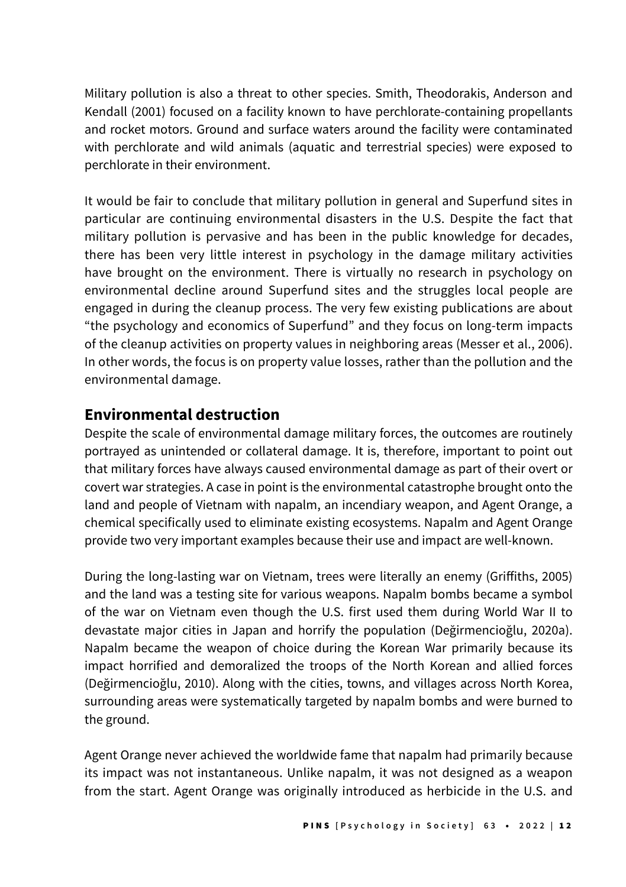Military pollution is also a threat to other species. Smith, Theodorakis, Anderson and Kendall (2001) focused on a facility known to have perchlorate-containing propellants and rocket motors. Ground and surface waters around the facility were contaminated with perchlorate and wild animals (aquatic and terrestrial species) were exposed to perchlorate in their environment.

It would be fair to conclude that military pollution in general and Superfund sites in particular are continuing environmental disasters in the U.S. Despite the fact that military pollution is pervasive and has been in the public knowledge for decades, there has been very little interest in psychology in the damage military activities have brought on the environment. There is virtually no research in psychology on environmental decline around Superfund sites and the struggles local people are engaged in during the cleanup process. The very few existing publications are about "the psychology and economics of Superfund" and they focus on long-term impacts of the cleanup activities on property values in neighboring areas (Messer et al., 2006). In other words, the focus is on property value losses, rather than the pollution and the environmental damage.

## **Environmental destruction**

Despite the scale of environmental damage military forces, the outcomes are routinely portrayed as unintended or collateral damage. It is, therefore, important to point out that military forces have always caused environmental damage as part of their overt or covert war strategies. A case in point is the environmental catastrophe brought onto the land and people of Vietnam with napalm, an incendiary weapon, and Agent Orange, a chemical specifically used to eliminate existing ecosystems. Napalm and Agent Orange provide two very important examples because their use and impact are well-known.

During the long-lasting war on Vietnam, trees were literally an enemy (Griffiths, 2005) and the land was a testing site for various weapons. Napalm bombs became a symbol of the war on Vietnam even though the U.S. first used them during World War II to devastate major cities in Japan and horrify the population (Değirmencioğlu, 2020a). Napalm became the weapon of choice during the Korean War primarily because its impact horrified and demoralized the troops of the North Korean and allied forces (Değirmencioğlu, 2010). Along with the cities, towns, and villages across North Korea, surrounding areas were systematically targeted by napalm bombs and were burned to the ground.

Agent Orange never achieved the worldwide fame that napalm had primarily because its impact was not instantaneous. Unlike napalm, it was not designed as a weapon from the start. Agent Orange was originally introduced as herbicide in the U.S. and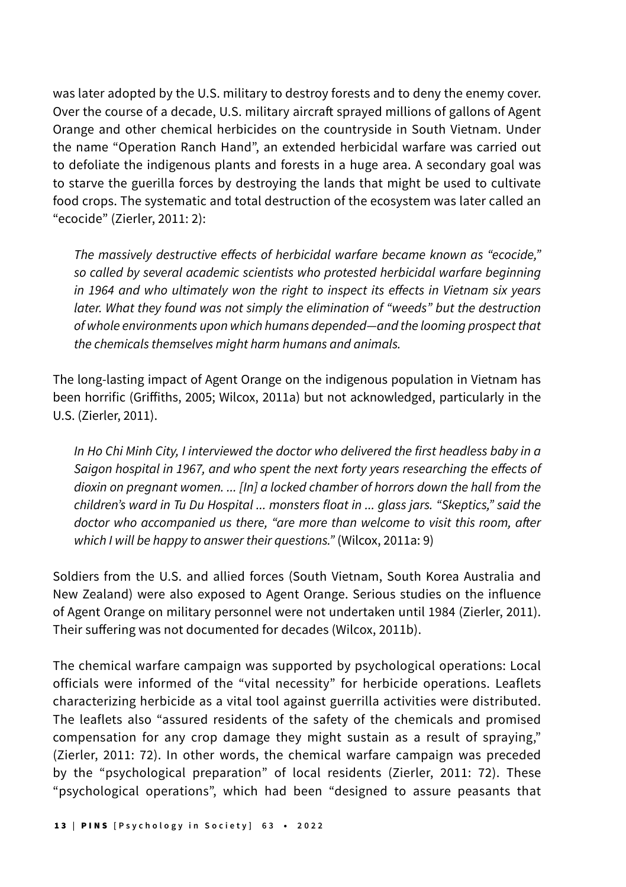was later adopted by the U.S. military to destroy forests and to deny the enemy cover. Over the course of a decade, U.S. military aircraft sprayed millions of gallons of Agent Orange and other chemical herbicides on the countryside in South Vietnam. Under the name "Operation Ranch Hand", an extended herbicidal warfare was carried out to defoliate the indigenous plants and forests in a huge area. A secondary goal was to starve the guerilla forces by destroying the lands that might be used to cultivate food crops. The systematic and total destruction of the ecosystem was later called an "ecocide" (Zierler, 2011: 2):

The massively destructive effects of herbicidal warfare became known as "ecocide," so called by several academic scientists who protested herbicidal warfare beginning in 1964 and who ultimately won the right to inspect its effects in Vietnam six years later. What they found was not simply the elimination of "weeds" but the destruction of whole environments upon which humans depended—and the looming prospect that the chemicals themselves might harm humans and animals.

The long-lasting impact of Agent Orange on the indigenous population in Vietnam has been horrific (Griffiths, 2005; Wilcox, 2011a) but not acknowledged, particularly in the U.S. (Zierler, 2011).

In Ho Chi Minh City, I interviewed the doctor who delivered the first headless baby in a Saigon hospital in 1967, and who spent the next forty years researching the effects of dioxin on pregnant women. ... [In] a locked chamber of horrors down the hall from the children's ward in Tu Du Hospital ... monsters float in ... glass jars. "Skeptics," said the doctor who accompanied us there, "are more than welcome to visit this room, after which I will be happy to answer their questions." (Wilcox, 2011a: 9)

Soldiers from the U.S. and allied forces (South Vietnam, South Korea Australia and New Zealand) were also exposed to Agent Orange. Serious studies on the influence of Agent Orange on military personnel were not undertaken until 1984 (Zierler, 2011). Their suffering was not documented for decades (Wilcox, 2011b).

The chemical warfare campaign was supported by psychological operations: Local officials were informed of the "vital necessity" for herbicide operations. Leaflets characterizing herbicide as a vital tool against guerrilla activities were distributed. The leaflets also "assured residents of the safety of the chemicals and promised compensation for any crop damage they might sustain as a result of spraying," (Zierler, 2011: 72). In other words, the chemical warfare campaign was preceded by the "psychological preparation" of local residents (Zierler, 2011: 72). These "psychological operations", which had been "designed to assure peasants that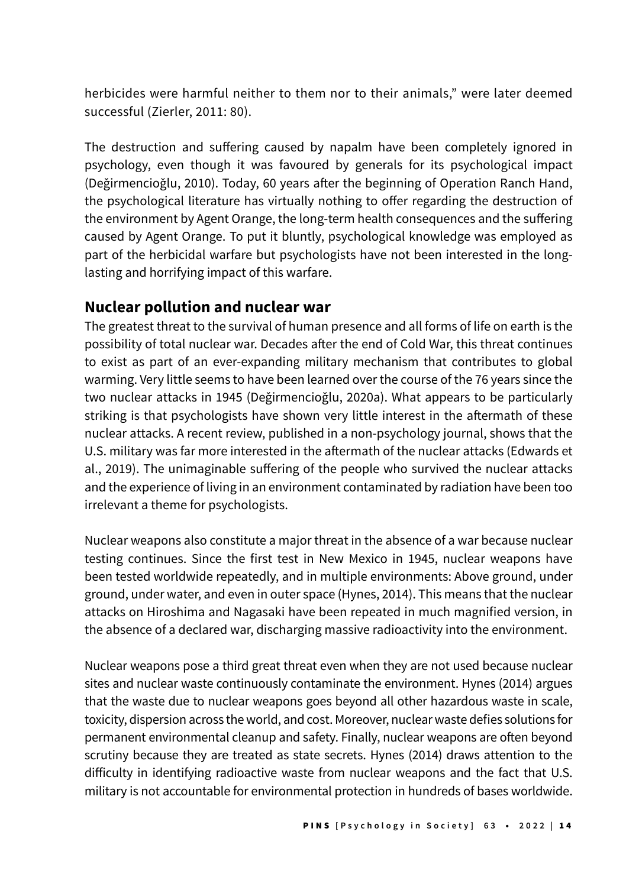herbicides were harmful neither to them nor to their animals," were later deemed successful (Zierler, 2011: 80).

The destruction and suffering caused by napalm have been completely ignored in psychology, even though it was favoured by generals for its psychological impact (Değirmencioğlu, 2010). Today, 60 years after the beginning of Operation Ranch Hand, the psychological literature has virtually nothing to offer regarding the destruction of the environment by Agent Orange, the long-term health consequences and the suffering caused by Agent Orange. To put it bluntly, psychological knowledge was employed as part of the herbicidal warfare but psychologists have not been interested in the longlasting and horrifying impact of this warfare.

#### **Nuclear pollution and nuclear war**

The greatest threat to the survival of human presence and all forms of life on earth is the possibility of total nuclear war. Decades after the end of Cold War, this threat continues to exist as part of an ever-expanding military mechanism that contributes to global warming. Very little seems to have been learned over the course of the 76 years since the two nuclear attacks in 1945 (Değirmencioğlu, 2020a). What appears to be particularly striking is that psychologists have shown very little interest in the aftermath of these nuclear attacks. A recent review, published in a non-psychology journal, shows that the U.S. military was far more interested in the aftermath of the nuclear attacks (Edwards et al., 2019). The unimaginable suffering of the people who survived the nuclear attacks and the experience of living in an environment contaminated by radiation have been too irrelevant a theme for psychologists.

Nuclear weapons also constitute a major threat in the absence of a war because nuclear testing continues. Since the first test in New Mexico in 1945, nuclear weapons have been tested worldwide repeatedly, and in multiple environments: Above ground, under ground, under water, and even in outer space (Hynes, 2014). This means that the nuclear attacks on Hiroshima and Nagasaki have been repeated in much magnified version, in the absence of a declared war, discharging massive radioactivity into the environment.

Nuclear weapons pose a third great threat even when they are not used because nuclear sites and nuclear waste continuously contaminate the environment. Hynes (2014) argues that the waste due to nuclear weapons goes beyond all other hazardous waste in scale, toxicity, dispersion across the world, and cost. Moreover, nuclear waste defies solutions for permanent environmental cleanup and safety. Finally, nuclear weapons are often beyond scrutiny because they are treated as state secrets. Hynes (2014) draws attention to the difficulty in identifying radioactive waste from nuclear weapons and the fact that U.S. military is not accountable for environmental protection in hundreds of bases worldwide.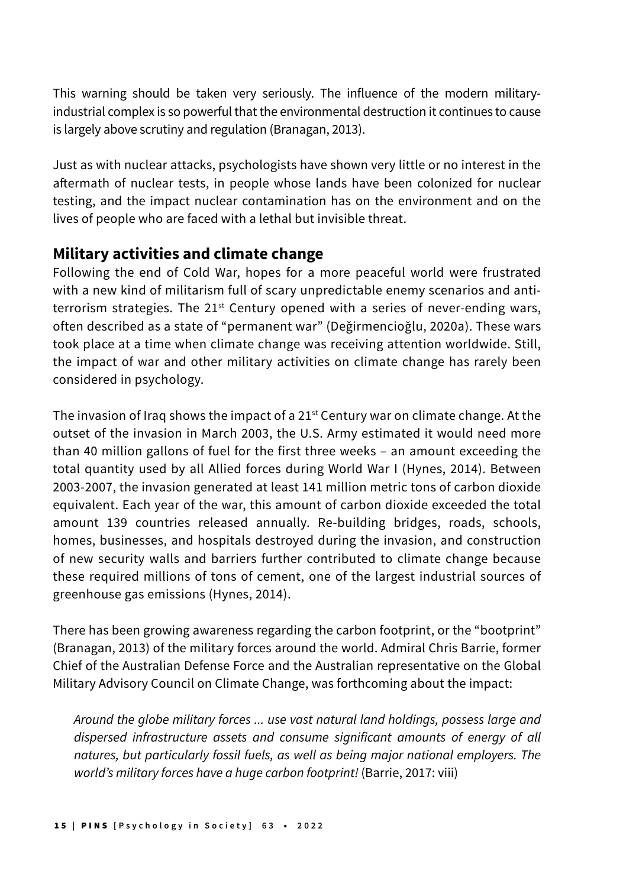This warning should be taken very seriously. The influence of the modern militaryindustrial complex is so powerful that the environmental destruction it continues to cause is largely above scrutiny and regulation (Branagan, 2013).

Just as with nuclear attacks, psychologists have shown very little or no interest in the aftermath of nuclear tests, in people whose lands have been colonized for nuclear testing, and the impact nuclear contamination has on the environment and on the lives of people who are faced with a lethal but invisible threat.

## **Military activities and climate change**

Following the end of Cold War, hopes for a more peaceful world were frustrated with a new kind of militarism full of scary unpredictable enemy scenarios and antiterrorism strategies. The  $21<sup>st</sup>$  Century opened with a series of never-ending wars, often described as a state of "permanent war" (Değirmencioğlu, 2020a). These wars took place at a time when climate change was receiving attention worldwide. Still, the impact of war and other military activities on climate change has rarely been considered in psychology.

The invasion of Iraq shows the impact of a  $21<sup>st</sup>$  Century war on climate change. At the outset of the invasion in March 2003, the U.S. Army estimated it would need more than 40 million gallons of fuel for the first three weeks – an amount exceeding the total quantity used by all Allied forces during World War I (Hynes, 2014). Between 2003-2007, the invasion generated at least 141 million metric tons of carbon dioxide equivalent. Each year of the war, this amount of carbon dioxide exceeded the total amount 139 countries released annually. Re-building bridges, roads, schools, homes, businesses, and hospitals destroyed during the invasion, and construction of new security walls and barriers further contributed to climate change because these required millions of tons of cement, one of the largest industrial sources of greenhouse gas emissions (Hynes, 2014).

There has been growing awareness regarding the carbon footprint, or the "bootprint" (Branagan, 2013) of the military forces around the world. Admiral Chris Barrie, former Chief of the Australian Defense Force and the Australian representative on the Global Military Advisory Council on Climate Change, was forthcoming about the impact:

Around the globe military forces ... use vast natural land holdings, possess large and dispersed infrastructure assets and consume significant amounts of energy of all natures, but particularly fossil fuels, as well as being major national employers. The world's military forces have a huge carbon footprint! (Barrie, 2017: viii)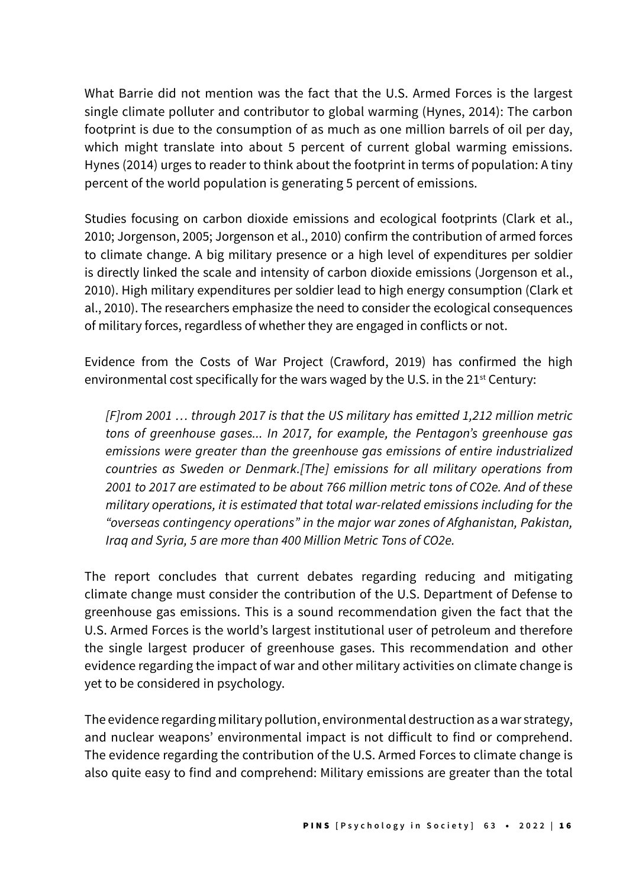What Barrie did not mention was the fact that the U.S. Armed Forces is the largest single climate polluter and contributor to global warming (Hynes, 2014): The carbon footprint is due to the consumption of as much as one million barrels of oil per day, which might translate into about 5 percent of current global warming emissions. Hynes (2014) urges to reader to think about the footprint in terms of population: A tiny percent of the world population is generating 5 percent of emissions.

Studies focusing on carbon dioxide emissions and ecological footprints (Clark et al., 2010; Jorgenson, 2005; Jorgenson et al., 2010) confirm the contribution of armed forces to climate change. A big military presence or a high level of expenditures per soldier is directly linked the scale and intensity of carbon dioxide emissions (Jorgenson et al., 2010). High military expenditures per soldier lead to high energy consumption (Clark et al., 2010). The researchers emphasize the need to consider the ecological consequences of military forces, regardless of whether they are engaged in conflicts or not.

Evidence from the Costs of War Project (Crawford, 2019) has confirmed the high environmental cost specifically for the wars waged by the U.S. in the 21<sup>st</sup> Century:

[F]rom 2001 … through 2017 is that the US military has emitted 1,212 million metric tons of greenhouse gases... In 2017, for example, the Pentagon's greenhouse gas emissions were greater than the greenhouse gas emissions of entire industrialized countries as Sweden or Denmark.[The] emissions for all military operations from 2001 to 2017 are estimated to be about 766 million metric tons of CO2e. And of these military operations, it is estimated that total war-related emissions including for the "overseas contingency operations" in the major war zones of Afghanistan, Pakistan, Iraq and Syria, 5 are more than 400 Million Metric Tons of CO2e.

The report concludes that current debates regarding reducing and mitigating climate change must consider the contribution of the U.S. Department of Defense to greenhouse gas emissions. This is a sound recommendation given the fact that the U.S. Armed Forces is the world's largest institutional user of petroleum and therefore the single largest producer of greenhouse gases. This recommendation and other evidence regarding the impact of war and other military activities on climate change is yet to be considered in psychology.

The evidence regarding military pollution, environmental destruction as a war strategy, and nuclear weapons' environmental impact is not difficult to find or comprehend. The evidence regarding the contribution of the U.S. Armed Forces to climate change is also quite easy to find and comprehend: Military emissions are greater than the total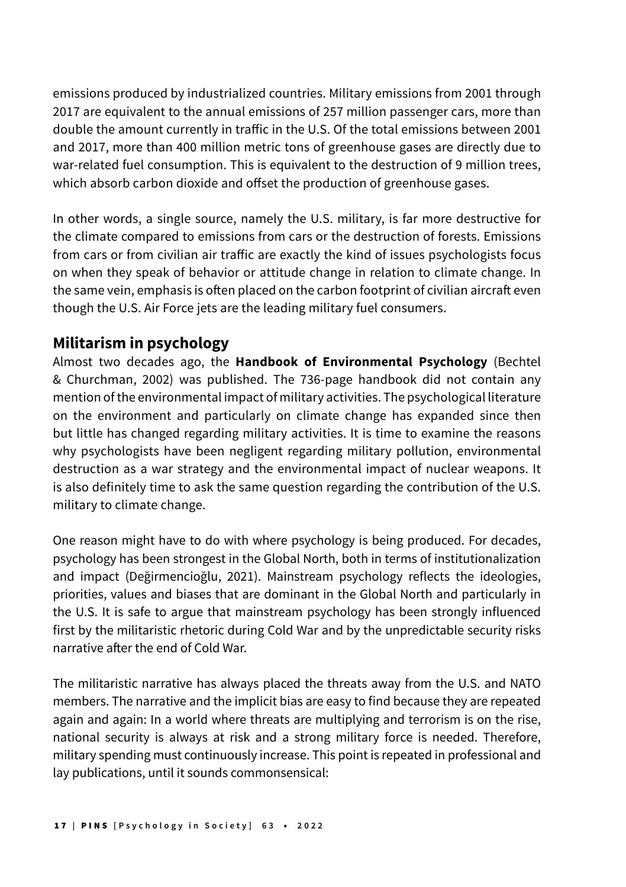emissions produced by industrialized countries. Military emissions from 2001 through 2017 are equivalent to the annual emissions of 257 million passenger cars, more than double the amount currently in traffic in the U.S. Of the total emissions between 2001 and 2017, more than 400 million metric tons of greenhouse gases are directly due to war-related fuel consumption. This is equivalent to the destruction of 9 million trees, which absorb carbon dioxide and offset the production of greenhouse gases.

In other words, a single source, namely the U.S. military, is far more destructive for the climate compared to emissions from cars or the destruction of forests. Emissions from cars or from civilian air traffic are exactly the kind of issues psychologists focus on when they speak of behavior or attitude change in relation to climate change. In the same vein, emphasis is often placed on the carbon footprint of civilian aircraft even though the U.S. Air Force jets are the leading military fuel consumers.

#### **Militarism in psychology**

Almost two decades ago, the **Handbook of Environmental Psychology** (Bechtel & Churchman, 2002) was published. The 736-page handbook did not contain any mention of the environmental impact of military activities. The psychological literature on the environment and particularly on climate change has expanded since then but little has changed regarding military activities. It is time to examine the reasons why psychologists have been negligent regarding military pollution, environmental destruction as a war strategy and the environmental impact of nuclear weapons. It is also definitely time to ask the same question regarding the contribution of the U.S. military to climate change.

One reason might have to do with where psychology is being produced. For decades, psychology has been strongest in the Global North, both in terms of institutionalization and impact (Değirmencioğlu, 2021). Mainstream psychology reflects the ideologies, priorities, values and biases that are dominant in the Global North and particularly in the U.S. It is safe to argue that mainstream psychology has been strongly influenced first by the militaristic rhetoric during Cold War and by the unpredictable security risks narrative after the end of Cold War.

The militaristic narrative has always placed the threats away from the U.S. and NATO members. The narrative and the implicit bias are easy to find because they are repeated again and again: In a world where threats are multiplying and terrorism is on the rise, national security is always at risk and a strong military force is needed. Therefore, military spending must continuously increase. This point is repeated in professional and lay publications, until it sounds commonsensical: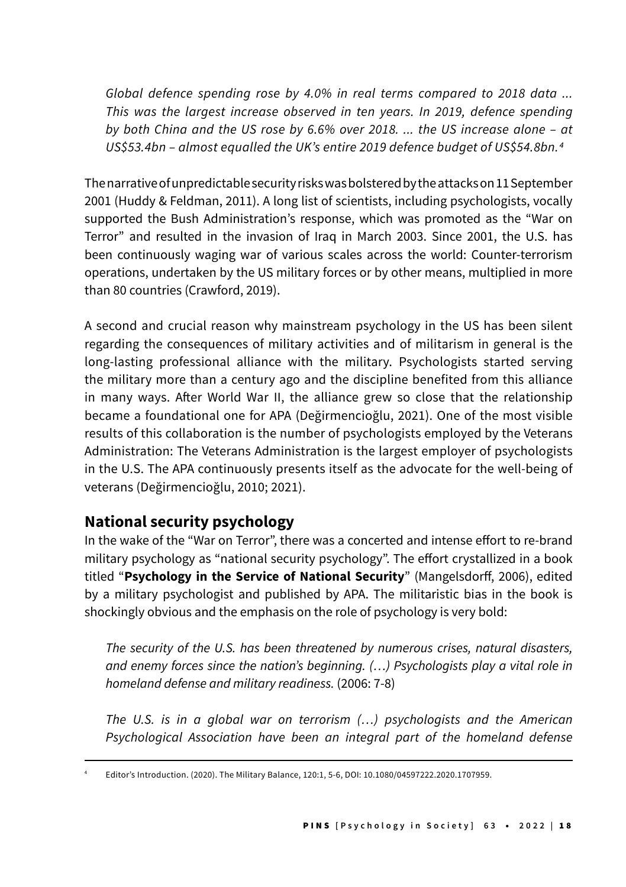Global defence spending rose by 4.0% in real terms compared to 2018 data ... This was the largest increase observed in ten years. In 2019, defence spending by both China and the US rose by 6.6% over 2018. ... the US increase alone – at US\$53.4bn – almost equalled the UK's entire 2019 defence budget of US\$54.8bn.4

The narrative of unpredictable security risks was bolstered by the attacks on 11 September 2001 (Huddy & Feldman, 2011). A long list of scientists, including psychologists, vocally supported the Bush Administration's response, which was promoted as the "War on Terror" and resulted in the invasion of Iraq in March 2003. Since 2001, the U.S. has been continuously waging war of various scales across the world: Counter-terrorism operations, undertaken by the US military forces or by other means, multiplied in more than 80 countries (Crawford, 2019).

A second and crucial reason why mainstream psychology in the US has been silent regarding the consequences of military activities and of militarism in general is the long-lasting professional alliance with the military. Psychologists started serving the military more than a century ago and the discipline benefited from this alliance in many ways. After World War II, the alliance grew so close that the relationship became a foundational one for APA (Değirmencioğlu, 2021). One of the most visible results of this collaboration is the number of psychologists employed by the Veterans Administration: The Veterans Administration is the largest employer of psychologists in the U.S. The APA continuously presents itself as the advocate for the well-being of veterans (Değirmencioğlu, 2010; 2021).

# **National security psychology**

In the wake of the "War on Terror", there was a concerted and intense effort to re-brand military psychology as "national security psychology". The effort crystallized in a book titled "**Psychology in the Service of National Security**" (Mangelsdorff, 2006), edited by a military psychologist and published by APA. The militaristic bias in the book is shockingly obvious and the emphasis on the role of psychology is very bold:

The security of the U.S. has been threatened by numerous crises, natural disasters, and enemy forces since the nation's beginning. (…) Psychologists play a vital role in homeland defense and military readiness. (2006: 7-8)

The U.S. is in a global war on terrorism (…) psychologists and the American Psychological Association have been an integral part of the homeland defense

<sup>4</sup> Editor's Introduction. (2020). The Military Balance, 120:1, 5-6, DOI: 10.1080/04597222.2020.1707959.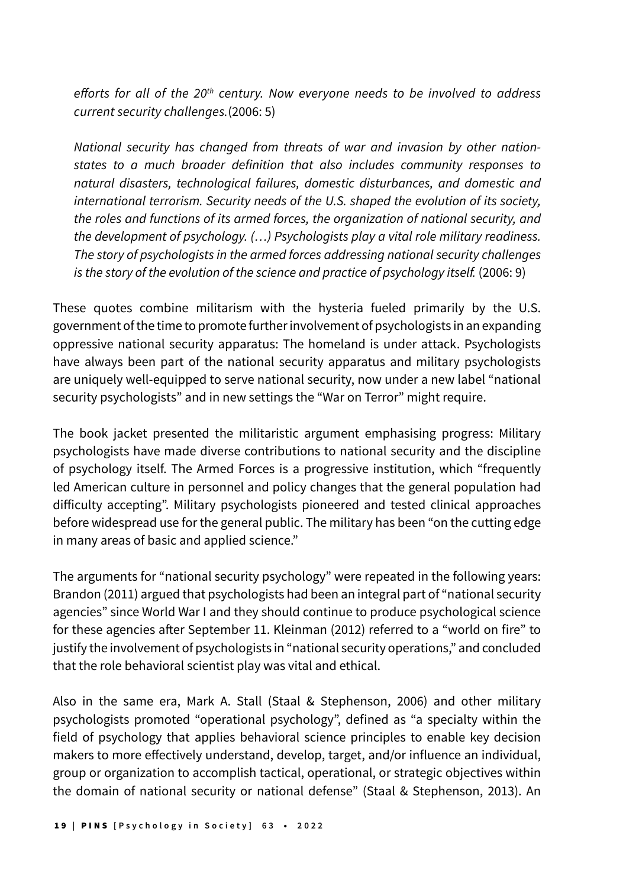efforts for all of the 20*th* century. Now everyone needs to be involved to address current security challenges.(2006: 5)

National security has changed from threats of war and invasion by other nationstates to a much broader definition that also includes community responses to natural disasters, technological failures, domestic disturbances, and domestic and international terrorism. Security needs of the U.S. shaped the evolution of its society, the roles and functions of its armed forces, the organization of national security, and the development of psychology. (…) Psychologists play a vital role military readiness. The story of psychologists in the armed forces addressing national security challenges is the story of the evolution of the science and practice of psychology itself. (2006: 9)

These quotes combine militarism with the hysteria fueled primarily by the U.S. government of the time to promote further involvement of psychologists in an expanding oppressive national security apparatus: The homeland is under attack. Psychologists have always been part of the national security apparatus and military psychologists are uniquely well-equipped to serve national security, now under a new label "national security psychologists" and in new settings the "War on Terror" might require.

The book jacket presented the militaristic argument emphasising progress: Military psychologists have made diverse contributions to national security and the discipline of psychology itself. The Armed Forces is a progressive institution, which "frequently led American culture in personnel and policy changes that the general population had difficulty accepting". Military psychologists pioneered and tested clinical approaches before widespread use for the general public. The military has been "on the cutting edge in many areas of basic and applied science."

The arguments for "national security psychology" were repeated in the following years: Brandon (2011) argued that psychologists had been an integral part of "national security agencies" since World War I and they should continue to produce psychological science for these agencies after September 11. Kleinman (2012) referred to a "world on fire" to justify the involvement of psychologists in "national security operations," and concluded that the role behavioral scientist play was vital and ethical.

Also in the same era, Mark A. Stall (Staal & Stephenson, 2006) and other military psychologists promoted "operational psychology", defined as "a specialty within the field of psychology that applies behavioral science principles to enable key decision makers to more effectively understand, develop, target, and/or influence an individual, group or organization to accomplish tactical, operational, or strategic objectives within the domain of national security or national defense" (Staal & Stephenson, 2013). An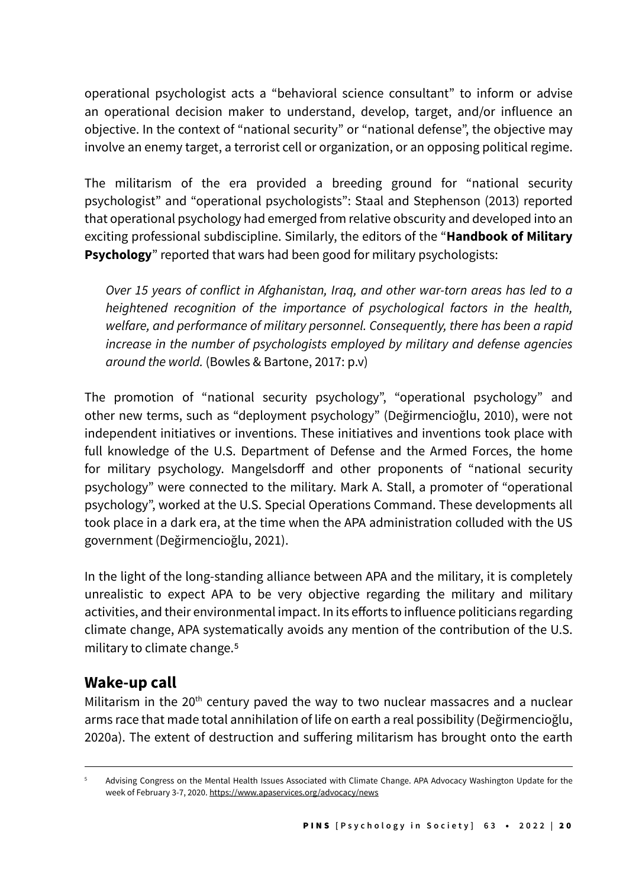operational psychologist acts a "behavioral science consultant" to inform or advise an operational decision maker to understand, develop, target, and/or influence an objective. In the context of "national security" or "national defense", the objective may involve an enemy target, a terrorist cell or organization, or an opposing political regime.

The militarism of the era provided a breeding ground for "national security psychologist" and "operational psychologists": Staal and Stephenson (2013) reported that operational psychology had emerged from relative obscurity and developed into an exciting professional subdiscipline. Similarly, the editors of the "**Handbook of Military Psychology**" reported that wars had been good for military psychologists:

Over 15 years of conflict in Afghanistan, Iraq, and other war-torn areas has led to a heightened recognition of the importance of psychological factors in the health, welfare, and performance of military personnel. Consequently, there has been a rapid increase in the number of psychologists employed by military and defense agencies around the world. (Bowles & Bartone, 2017: p.v)

The promotion of "national security psychology", "operational psychology" and other new terms, such as "deployment psychology" (Değirmencioğlu, 2010), were not independent initiatives or inventions. These initiatives and inventions took place with full knowledge of the U.S. Department of Defense and the Armed Forces, the home for military psychology. Mangelsdorff and other proponents of "national security psychology" were connected to the military. Mark A. Stall, a promoter of "operational psychology", worked at the U.S. Special Operations Command. These developments all took place in a dark era, at the time when the APA administration colluded with the US government (Değirmencioğlu, 2021).

In the light of the long-standing alliance between APA and the military, it is completely unrealistic to expect APA to be very objective regarding the military and military activities, and their environmental impact. In its efforts to influence politicians regarding climate change, APA systematically avoids any mention of the contribution of the U.S. military to climate change.<sup>5</sup>

## **Wake-up call**

Militarism in the  $20<sup>th</sup>$  century paved the way to two nuclear massacres and a nuclear arms race that made total annihilation of life on earth a real possibility (Değirmencioğlu, 2020a). The extent of destruction and suffering militarism has brought onto the earth

<sup>5</sup> Advising Congress on the Mental Health Issues Associated with Climate Change. APA Advocacy Washington Update for the week of February 3-7, 2020. https://www.apaservices.org/advocacy/news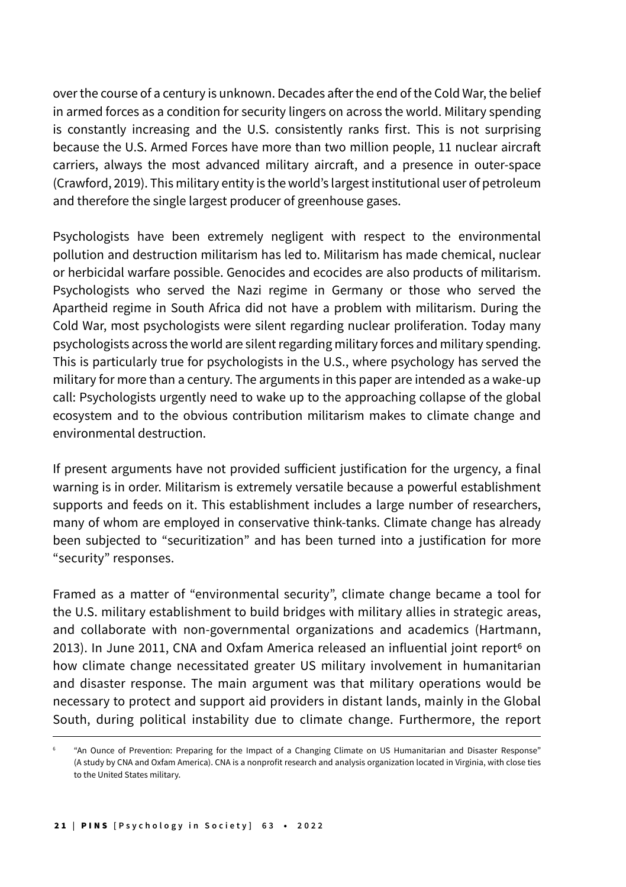over the course of a century is unknown. Decades after the end of the Cold War, the belief in armed forces as a condition for security lingers on across the world. Military spending is constantly increasing and the U.S. consistently ranks first. This is not surprising because the U.S. Armed Forces have more than two million people, 11 nuclear aircraft carriers, always the most advanced military aircraft, and a presence in outer-space (Crawford, 2019). This military entity is the world's largest institutional user of petroleum and therefore the single largest producer of greenhouse gases.

Psychologists have been extremely negligent with respect to the environmental pollution and destruction militarism has led to. Militarism has made chemical, nuclear or herbicidal warfare possible. Genocides and ecocides are also products of militarism. Psychologists who served the Nazi regime in Germany or those who served the Apartheid regime in South Africa did not have a problem with militarism. During the Cold War, most psychologists were silent regarding nuclear proliferation. Today many psychologists across the world are silent regarding military forces and military spending. This is particularly true for psychologists in the U.S., where psychology has served the military for more than a century. The arguments in this paper are intended as a wake-up call: Psychologists urgently need to wake up to the approaching collapse of the global ecosystem and to the obvious contribution militarism makes to climate change and environmental destruction.

If present arguments have not provided sufficient justification for the urgency, a final warning is in order. Militarism is extremely versatile because a powerful establishment supports and feeds on it. This establishment includes a large number of researchers, many of whom are employed in conservative think-tanks. Climate change has already been subjected to "securitization" and has been turned into a justification for more "security" responses.

Framed as a matter of "environmental security", climate change became a tool for the U.S. military establishment to build bridges with military allies in strategic areas, and collaborate with non-governmental organizations and academics (Hartmann, 2013). In June 2011, CNA and Oxfam America released an influential joint report<sup>6</sup> on how climate change necessitated greater US military involvement in humanitarian and disaster response. The main argument was that military operations would be necessary to protect and support aid providers in distant lands, mainly in the Global South, during political instability due to climate change. Furthermore, the report

<sup>6</sup> "An Ounce of Prevention: Preparing for the Impact of a Changing Climate on US Humanitarian and Disaster Response" (A study by CNA and Oxfam America). CNA is a nonprofit research and analysis organization located in Virginia, with close ties to the United States military.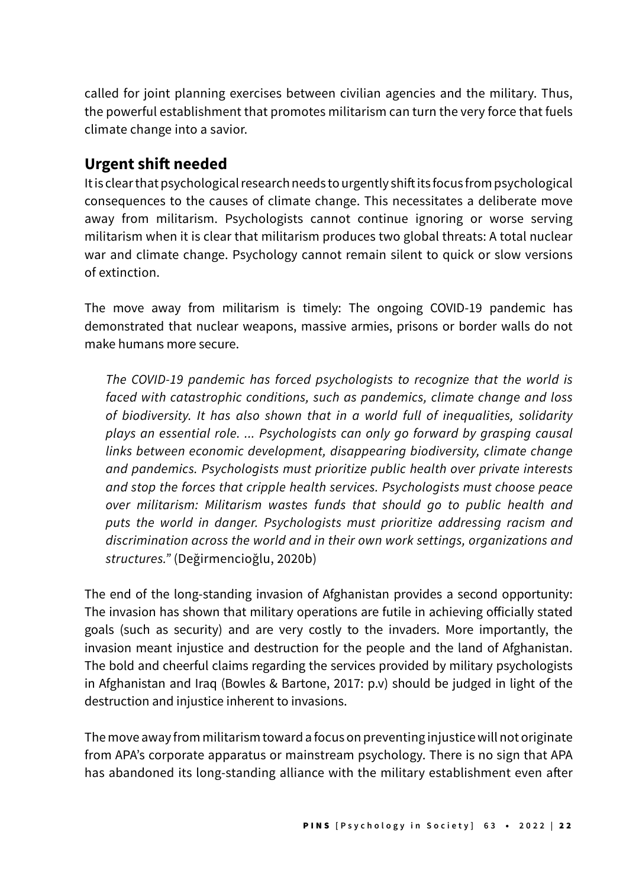called for joint planning exercises between civilian agencies and the military. Thus, the powerful establishment that promotes militarism can turn the very force that fuels climate change into a savior.

### **Urgent shift needed**

It is clear that psychological research needs to urgently shift its focus from psychological consequences to the causes of climate change. This necessitates a deliberate move away from militarism. Psychologists cannot continue ignoring or worse serving militarism when it is clear that militarism produces two global threats: A total nuclear war and climate change. Psychology cannot remain silent to quick or slow versions of extinction.

The move away from militarism is timely: The ongoing COVID-19 pandemic has demonstrated that nuclear weapons, massive armies, prisons or border walls do not make humans more secure.

The COVID-19 pandemic has forced psychologists to recognize that the world is faced with catastrophic conditions, such as pandemics, climate change and loss of biodiversity. It has also shown that in a world full of inequalities, solidarity plays an essential role. ... Psychologists can only go forward by grasping causal links between economic development, disappearing biodiversity, climate change and pandemics. Psychologists must prioritize public health over private interests and stop the forces that cripple health services. Psychologists must choose peace over militarism: Militarism wastes funds that should go to public health and puts the world in danger. Psychologists must prioritize addressing racism and discrimination across the world and in their own work settings, organizations and structures." (Değirmencioğlu, 2020b)

The end of the long-standing invasion of Afghanistan provides a second opportunity: The invasion has shown that military operations are futile in achieving officially stated goals (such as security) and are very costly to the invaders. More importantly, the invasion meant injustice and destruction for the people and the land of Afghanistan. The bold and cheerful claims regarding the services provided by military psychologists in Afghanistan and Iraq (Bowles & Bartone, 2017: p.v) should be judged in light of the destruction and injustice inherent to invasions.

The move away from militarism toward a focus on preventing injustice will not originate from APA's corporate apparatus or mainstream psychology. There is no sign that APA has abandoned its long-standing alliance with the military establishment even after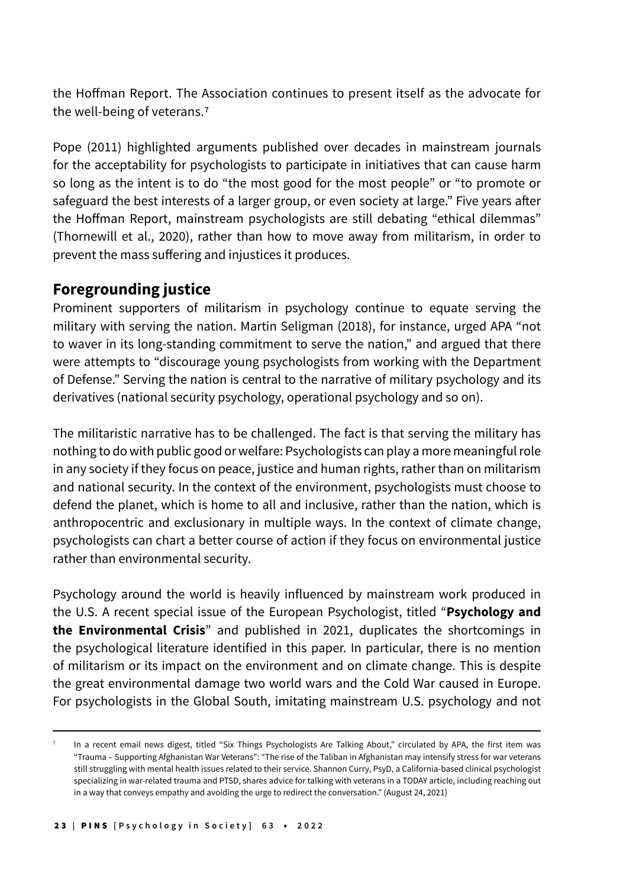the Hoffman Report. The Association continues to present itself as the advocate for the well-being of veterans.7

Pope (2011) highlighted arguments published over decades in mainstream journals for the acceptability for psychologists to participate in initiatives that can cause harm so long as the intent is to do "the most good for the most people" or "to promote or safeguard the best interests of a larger group, or even society at large." Five years after the Hoffman Report, mainstream psychologists are still debating "ethical dilemmas" (Thornewill et al., 2020), rather than how to move away from militarism, in order to prevent the mass suffering and injustices it produces.

# **Foregrounding justice**

Prominent supporters of militarism in psychology continue to equate serving the military with serving the nation. Martin Seligman (2018), for instance, urged APA "not to waver in its long-standing commitment to serve the nation," and argued that there were attempts to "discourage young psychologists from working with the Department of Defense." Serving the nation is central to the narrative of military psychology and its derivatives (national security psychology, operational psychology and so on).

The militaristic narrative has to be challenged. The fact is that serving the military has nothing to do with public good or welfare: Psychologists can play a more meaningful role in any society if they focus on peace, justice and human rights, rather than on militarism and national security. In the context of the environment, psychologists must choose to defend the planet, which is home to all and inclusive, rather than the nation, which is anthropocentric and exclusionary in multiple ways. In the context of climate change, psychologists can chart a better course of action if they focus on environmental justice rather than environmental security.

Psychology around the world is heavily influenced by mainstream work produced in the U.S. A recent special issue of the European Psychologist, titled "**Psychology and the Environmental Crisis**" and published in 2021, duplicates the shortcomings in the psychological literature identified in this paper. In particular, there is no mention of militarism or its impact on the environment and on climate change. This is despite the great environmental damage two world wars and the Cold War caused in Europe. For psychologists in the Global South, imitating mainstream U.S. psychology and not

In a recent email news digest, titled "Six Things Psychologists Are Talking About," circulated by APA, the first item was "Trauma – Supporting Afghanistan War Veterans": "The rise of the Taliban in Afghanistan may intensify stress for war veterans still struggling with mental health issues related to their service. Shannon Curry, PsyD, a California-based clinical psychologist specializing in war-related trauma and PTSD, shares advice for talking with veterans in a TODAY article, including reaching out in a way that conveys empathy and avoiding the urge to redirect the conversation." (August 24, 2021)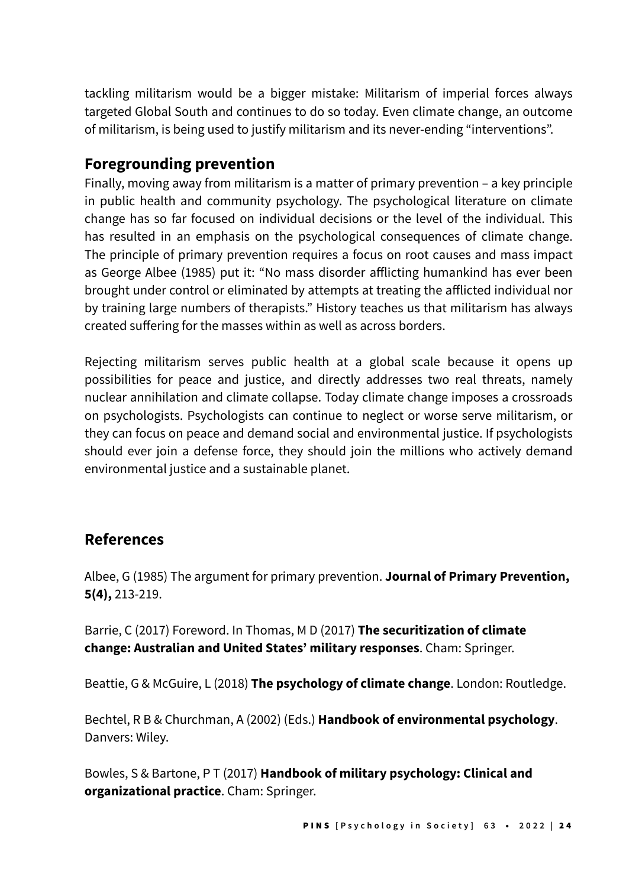tackling militarism would be a bigger mistake: Militarism of imperial forces always targeted Global South and continues to do so today. Even climate change, an outcome of militarism, is being used to justify militarism and its never-ending "interventions".

### **Foregrounding prevention**

Finally, moving away from militarism is a matter of primary prevention – a key principle in public health and community psychology. The psychological literature on climate change has so far focused on individual decisions or the level of the individual. This has resulted in an emphasis on the psychological consequences of climate change. The principle of primary prevention requires a focus on root causes and mass impact as George Albee (1985) put it: "No mass disorder afflicting humankind has ever been brought under control or eliminated by attempts at treating the afflicted individual nor by training large numbers of therapists." History teaches us that militarism has always created suffering for the masses within as well as across borders.

Rejecting militarism serves public health at a global scale because it opens up possibilities for peace and justice, and directly addresses two real threats, namely nuclear annihilation and climate collapse. Today climate change imposes a crossroads on psychologists. Psychologists can continue to neglect or worse serve militarism, or they can focus on peace and demand social and environmental justice. If psychologists should ever join a defense force, they should join the millions who actively demand environmental justice and a sustainable planet.

#### **References**

Albee, G (1985) The argument for primary prevention. **Journal of Primary Prevention, 5(4),** 213-219.

Barrie, C (2017) Foreword. In Thomas, M D (2017) **The securitization of climate change: Australian and United States' military responses**. Cham: Springer.

Beattie, G & McGuire, L (2018) **The psychology of climate change**. London: Routledge.

Bechtel, R B & Churchman, A (2002) (Eds.) **Handbook of environmental psychology**. Danvers: Wiley.

Bowles, S & Bartone, P T (2017) **Handbook of military psychology: Clinical and organizational practice**. Cham: Springer.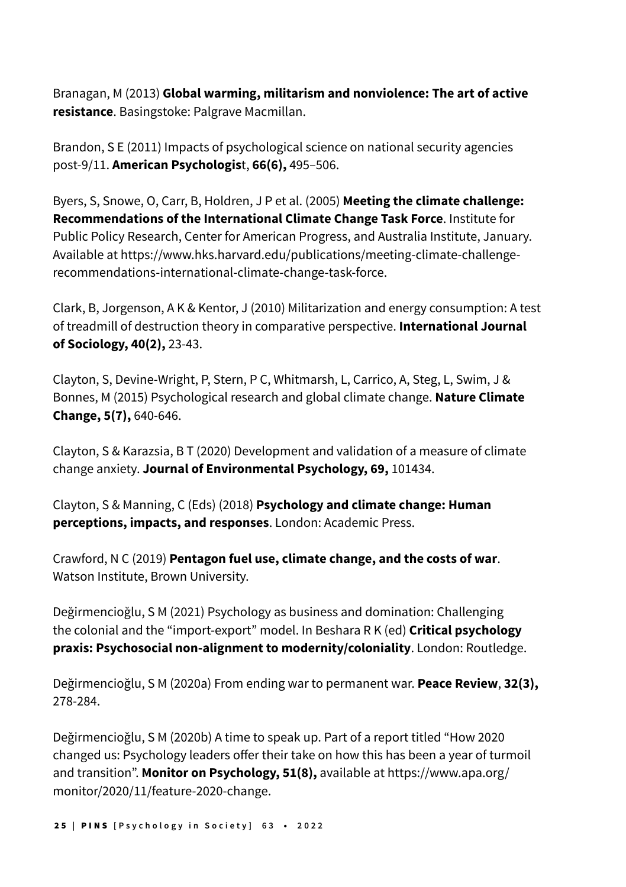Branagan, M (2013) **Global warming, militarism and nonviolence: The art of active resistance**. Basingstoke: Palgrave Macmillan.

Brandon, S E (2011) Impacts of psychological science on national security agencies post-9/11. **American Psychologis**t, **66(6),** 495–506.

Byers, S, Snowe, O, Carr, B, Holdren, J P et al. (2005) **Meeting the climate challenge: Recommendations of the International Climate Change Task Force**. Institute for Public Policy Research, Center for American Progress, and Australia Institute, January. Available at https://www.hks.harvard.edu/publications/meeting-climate-challengerecommendations-international-climate-change-task-force.

Clark, B, Jorgenson, A K & Kentor, J (2010) Militarization and energy consumption: A test of treadmill of destruction theory in comparative perspective. **International Journal of Sociology, 40(2),** 23-43.

Clayton, S, Devine-Wright, P, Stern, P C, Whitmarsh, L, Carrico, A, Steg, L, Swim, J & Bonnes, M (2015) Psychological research and global climate change. **Nature Climate Change, 5(7),** 640-646.

Clayton, S & Karazsia, B T (2020) Development and validation of a measure of climate change anxiety. **Journal of Environmental Psychology, 69,** 101434.

Clayton, S & Manning, C (Eds) (2018) **Psychology and climate change: Human perceptions, impacts, and responses**. London: Academic Press.

Crawford, N C (2019) **Pentagon fuel use, climate change, and the costs of war**. Watson Institute, Brown University.

Değirmencioğlu, S M (2021) Psychology as business and domination: Challenging the colonial and the "import-export" model. In Beshara R K (ed) **Critical psychology praxis: Psychosocial non-alignment to modernity/coloniality**. London: Routledge.

Değirmencioğlu, S M (2020a) From ending war to permanent war. **Peace Review**, **32(3),** 278-284.

Değirmencioğlu, S M (2020b) A time to speak up. Part of a report titled "How 2020 changed us: Psychology leaders offer their take on how this has been a year of turmoil and transition". **Monitor on Psychology, 51(8),** available at https://www.apa.org/ monitor/2020/11/feature-2020-change.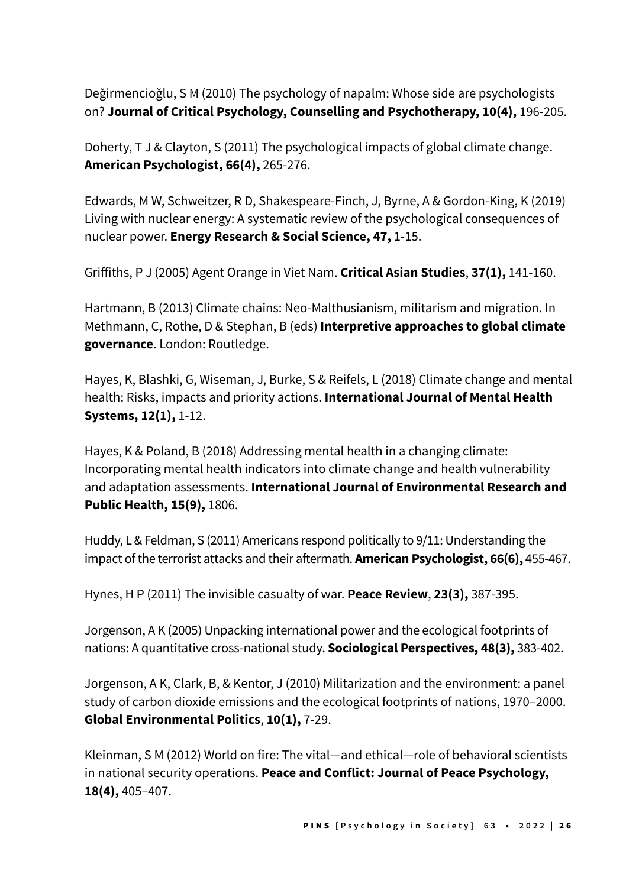Değirmencioğlu, S M (2010) The psychology of napalm: Whose side are psychologists on? **Journal of Critical Psychology, Counselling and Psychotherapy, 10(4),** 196-205.

Doherty, T J & Clayton, S (2011) The psychological impacts of global climate change. **American Psychologist, 66(4),** 265-276.

Edwards, M W, Schweitzer, R D, Shakespeare-Finch, J, Byrne, A & Gordon-King, K (2019) Living with nuclear energy: A systematic review of the psychological consequences of nuclear power. **Energy Research & Social Science, 47,** 1-15.

Griffiths, P J (2005) Agent Orange in Viet Nam. **Critical Asian Studies**, **37(1),** 141-160.

Hartmann, B (2013) Climate chains: Neo-Malthusianism, militarism and migration. In Methmann, C, Rothe, D & Stephan, B (eds) **Interpretive approaches to global climate governance**. London: Routledge.

Hayes, K, Blashki, G, Wiseman, J, Burke, S & Reifels, L (2018) Climate change and mental health: Risks, impacts and priority actions. **International Journal of Mental Health Systems, 12(1),** 1-12.

Hayes, K & Poland, B (2018) Addressing mental health in a changing climate: Incorporating mental health indicators into climate change and health vulnerability and adaptation assessments. **International Journal of Environmental Research and Public Health, 15(9),** 1806.

Huddy, L & Feldman, S (2011) Americans respond politically to 9/11: Understanding the impact of the terrorist attacks and their aftermath. **American Psychologist, 66(6),** 455-467.

Hynes, H P (2011) The invisible casualty of war. **Peace Review**, **23(3),** 387-395.

Jorgenson, A K (2005) Unpacking international power and the ecological footprints of nations: A quantitative cross-national study. **Sociological Perspectives, 48(3),** 383-402.

Jorgenson, A K, Clark, B, & Kentor, J (2010) Militarization and the environment: a panel study of carbon dioxide emissions and the ecological footprints of nations, 1970–2000. **Global Environmental Politics**, **10(1),** 7-29.

Kleinman, S M (2012) World on fire: The vital—and ethical—role of behavioral scientists in national security operations. **Peace and Conflict: Journal of Peace Psychology, 18(4),** 405–407.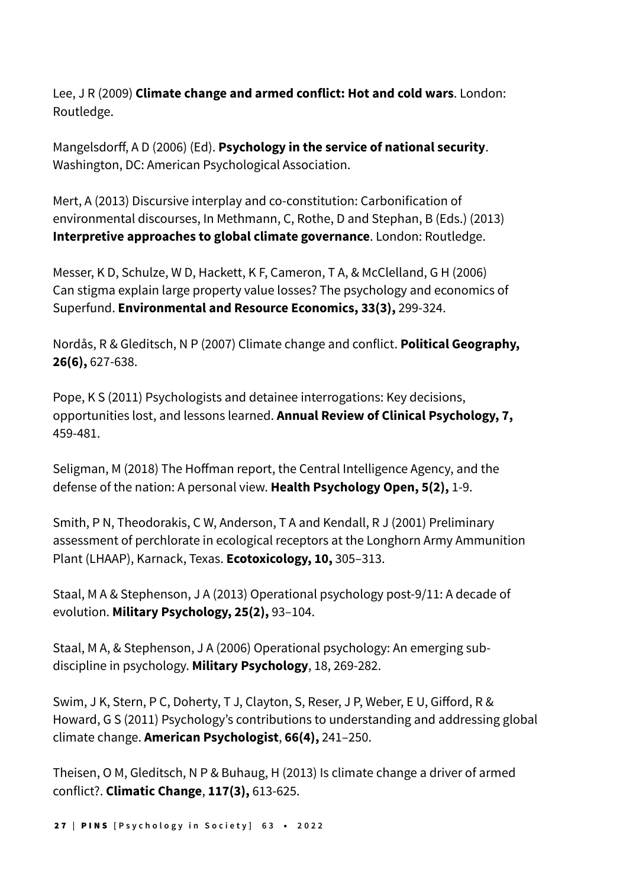Lee, J R (2009) **Climate change and armed conflict: Hot and cold wars**. London: Routledge.

Mangelsdorff, A D (2006) (Ed). **Psychology in the service of national security**. Washington, DC: American Psychological Association.

Mert, A (2013) Discursive interplay and co-constitution: Carbonification of environmental discourses, In Methmann, C, Rothe, D and Stephan, B (Eds.) (2013) **Interpretive approaches to global climate governance**. London: Routledge.

Messer, K D, Schulze, W D, Hackett, K F, Cameron, T A, & McClelland, G H (2006) Can stigma explain large property value losses? The psychology and economics of Superfund. **Environmental and Resource Economics, 33(3),** 299-324.

Nordås, R & Gleditsch, N P (2007) Climate change and conflict. **Political Geography, 26(6),** 627-638.

Pope, K S (2011) Psychologists and detainee interrogations: Key decisions, opportunities lost, and lessons learned. **Annual Review of Clinical Psychology, 7,** 459-481.

Seligman, M (2018) The Hoffman report, the Central Intelligence Agency, and the defense of the nation: A personal view. **Health Psychology Open, 5(2),** 1-9.

Smith, P N, Theodorakis, C W, Anderson, T A and Kendall, R J (2001) Preliminary assessment of perchlorate in ecological receptors at the Longhorn Army Ammunition Plant (LHAAP), Karnack, Texas. **Ecotoxicology, 10,** 305–313.

Staal, M A & Stephenson, J A (2013) Operational psychology post-9/11: A decade of evolution. **Military Psychology, 25(2),** 93–104.

Staal, M A, & Stephenson, J A (2006) Operational psychology: An emerging subdiscipline in psychology. **Military Psychology**, 18, 269-282.

Swim, J K, Stern, P C, Doherty, T J, Clayton, S, Reser, J P, Weber, E U, Gifford, R & Howard, G S (2011) Psychology's contributions to understanding and addressing global climate change. **American Psychologist**, **66(4),** 241–250.

Theisen, O M, Gleditsch, N P & Buhaug, H (2013) Is climate change a driver of armed conflict?. **Climatic Change**, **117(3),** 613-625.